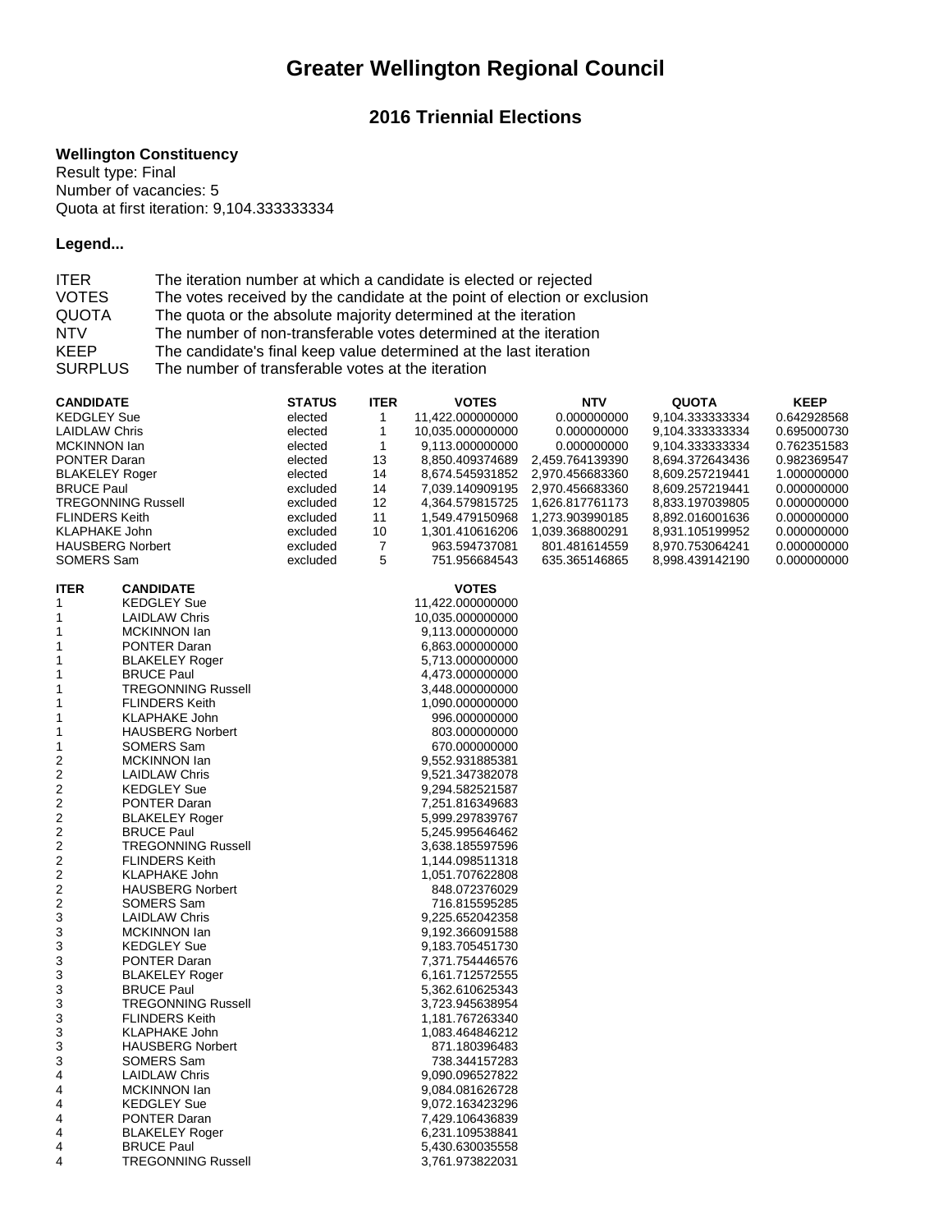# **Greater Wellington Regional Council**

## **2016 Triennial Elections**

#### **Wellington Constituency**

Result type: Final Number of vacancies: 5 Quota at first iteration: 9,104.333333334

### **Legend...**

| <b>ITER</b>    | The iteration number at which a candidate is elected or rejected          |
|----------------|---------------------------------------------------------------------------|
| <b>VOTES</b>   | The votes received by the candidate at the point of election or exclusion |
| <b>QUOTA</b>   | The quota or the absolute majority determined at the iteration            |
| <b>NTV</b>     | The number of non-transferable votes determined at the iteration          |
| <b>KEEP</b>    | The candidate's final keep value determined at the last iteration         |
| <b>SURPLUS</b> | The number of transferable votes at the iteration                         |

| <b>CANDIDATE</b>        |                           | <b>STATUS</b> | <b>ITER</b> | <b>VOTES</b>     | <b>NTV</b>      | <b>QUOTA</b>     | <b>KEEP</b> |
|-------------------------|---------------------------|---------------|-------------|------------------|-----------------|------------------|-------------|
| <b>KEDGLEY Sue</b>      |                           | elected       | 1           | 11,422.000000000 | 0.000000000     | 9,104.333333334  | 0.642928568 |
| <b>LAIDLAW Chris</b>    |                           | elected       | 1           | 10,035.000000000 | 0.000000000     | 9,104.3333333334 | 0.695000730 |
| MCKINNON lan            |                           | elected       | 1           | 9,113.000000000  | 0.000000000     | 9,104.333333334  | 0.762351583 |
| PONTER Daran            |                           | elected       | 13          | 8,850.409374689  | 2,459.764139390 | 8,694.372643436  | 0.982369547 |
| <b>BLAKELEY Roger</b>   |                           | elected       | 14          | 8,674.545931852  | 2,970.456683360 | 8,609.257219441  | 1.000000000 |
| <b>BRUCE Paul</b>       |                           | excluded      | 14          | 7,039.140909195  | 2,970.456683360 | 8,609.257219441  | 0.000000000 |
|                         | <b>TREGONNING Russell</b> | excluded      | 12          | 4,364.579815725  | 1,626.817761173 | 8,833.197039805  | 0.000000000 |
| <b>FLINDERS Keith</b>   |                           | excluded      | 11          | 1,549.479150968  | 1,273.903990185 | 8,892.016001636  | 0.000000000 |
| <b>KLAPHAKE John</b>    |                           | excluded      | 10          | 1,301.410616206  | 1,039.368800291 | 8,931.105199952  | 0.000000000 |
| <b>HAUSBERG Norbert</b> |                           | excluded      | 7           | 963.594737081    | 801.481614559   | 8,970.753064241  | 0.000000000 |
| SOMERS Sam              |                           | excluded      | 5           | 751.956684543    | 635.365146865   | 8,998.439142190  | 0.000000000 |
|                         |                           |               |             |                  |                 |                  |             |
| <b>ITER</b>             | <b>CANDIDATE</b>          |               |             | <b>VOTES</b>     |                 |                  |             |
| 1                       | <b>KEDGLEY Sue</b>        |               |             | 11,422.000000000 |                 |                  |             |
| 1                       | <b>LAIDLAW Chris</b>      |               |             | 10,035.000000000 |                 |                  |             |
| 1                       | <b>MCKINNON lan</b>       |               |             | 9,113.000000000  |                 |                  |             |
| 1                       | <b>PONTER Daran</b>       |               |             | 6,863.000000000  |                 |                  |             |
| 1                       |                           |               |             |                  |                 |                  |             |
|                         | <b>BLAKELEY Roger</b>     |               |             | 5,713.000000000  |                 |                  |             |
| 1                       | <b>BRUCE Paul</b>         |               |             | 4,473.000000000  |                 |                  |             |
| 1                       | <b>TREGONNING Russell</b> |               |             | 3,448.000000000  |                 |                  |             |
| 1                       | <b>FLINDERS Keith</b>     |               |             | 1,090.000000000  |                 |                  |             |
| 1                       | <b>KLAPHAKE John</b>      |               |             | 996.000000000    |                 |                  |             |
| 1                       | <b>HAUSBERG Norbert</b>   |               |             | 803.000000000    |                 |                  |             |
| 1                       | SOMERS Sam                |               |             | 670.000000000    |                 |                  |             |
| $\overline{\mathbf{c}}$ | <b>MCKINNON lan</b>       |               |             | 9,552.931885381  |                 |                  |             |
| 2                       | <b>LAIDLAW Chris</b>      |               |             | 9,521.347382078  |                 |                  |             |
| $\overline{\mathbf{c}}$ | <b>KEDGLEY Sue</b>        |               |             | 9,294.582521587  |                 |                  |             |
| 2                       | PONTER Daran              |               |             | 7,251.816349683  |                 |                  |             |
| 2                       | <b>BLAKELEY Roger</b>     |               |             | 5,999.297839767  |                 |                  |             |
| $\boldsymbol{2}$        | <b>BRUCE Paul</b>         |               |             | 5,245.995646462  |                 |                  |             |
| 2                       | <b>TREGONNING Russell</b> |               |             | 3,638.185597596  |                 |                  |             |
| $\boldsymbol{2}$        | <b>FLINDERS Keith</b>     |               |             | 1,144.098511318  |                 |                  |             |
| $\overline{c}$          | <b>KLAPHAKE John</b>      |               |             | 1,051.707622808  |                 |                  |             |
| 2                       | <b>HAUSBERG Norbert</b>   |               |             | 848.072376029    |                 |                  |             |
| $\overline{\mathbf{c}}$ | SOMERS Sam                |               |             | 716.815595285    |                 |                  |             |
| 3                       | <b>LAIDLAW Chris</b>      |               |             | 9,225.652042358  |                 |                  |             |
| 3                       | MCKINNON lan              |               |             | 9,192.366091588  |                 |                  |             |
| 3                       | <b>KEDGLEY Sue</b>        |               |             | 9,183.705451730  |                 |                  |             |
| 3                       | <b>PONTER Daran</b>       |               |             | 7,371.754446576  |                 |                  |             |
| 3                       | <b>BLAKELEY Roger</b>     |               |             | 6,161.712572555  |                 |                  |             |
| 3                       | <b>BRUCE Paul</b>         |               |             | 5,362.610625343  |                 |                  |             |
| 3                       | <b>TREGONNING Russell</b> |               |             | 3,723.945638954  |                 |                  |             |
| 3                       | <b>FLINDERS Keith</b>     |               |             | 1,181.767263340  |                 |                  |             |
| 3                       | <b>KLAPHAKE John</b>      |               |             | 1,083.464846212  |                 |                  |             |
|                         | <b>HAUSBERG Norbert</b>   |               |             |                  |                 |                  |             |
| 3                       |                           |               |             | 871.180396483    |                 |                  |             |
| 3                       | SOMERS Sam                |               |             | 738.344157283    |                 |                  |             |
| 4                       | <b>LAIDLAW Chris</b>      |               |             | 9,090.096527822  |                 |                  |             |
| 4                       | MCKINNON lan              |               |             | 9,084.081626728  |                 |                  |             |
| 4                       | <b>KEDGLEY Sue</b>        |               |             | 9,072.163423296  |                 |                  |             |
| 4                       | <b>PONTER Daran</b>       |               |             | 7,429.106436839  |                 |                  |             |
| 4                       | <b>BLAKELEY Roger</b>     |               |             | 6,231.109538841  |                 |                  |             |
| 4                       | <b>BRUCE Paul</b>         |               |             | 5,430.630035558  |                 |                  |             |
| 4                       | <b>TREGONNING Russell</b> |               |             | 3,761.973822031  |                 |                  |             |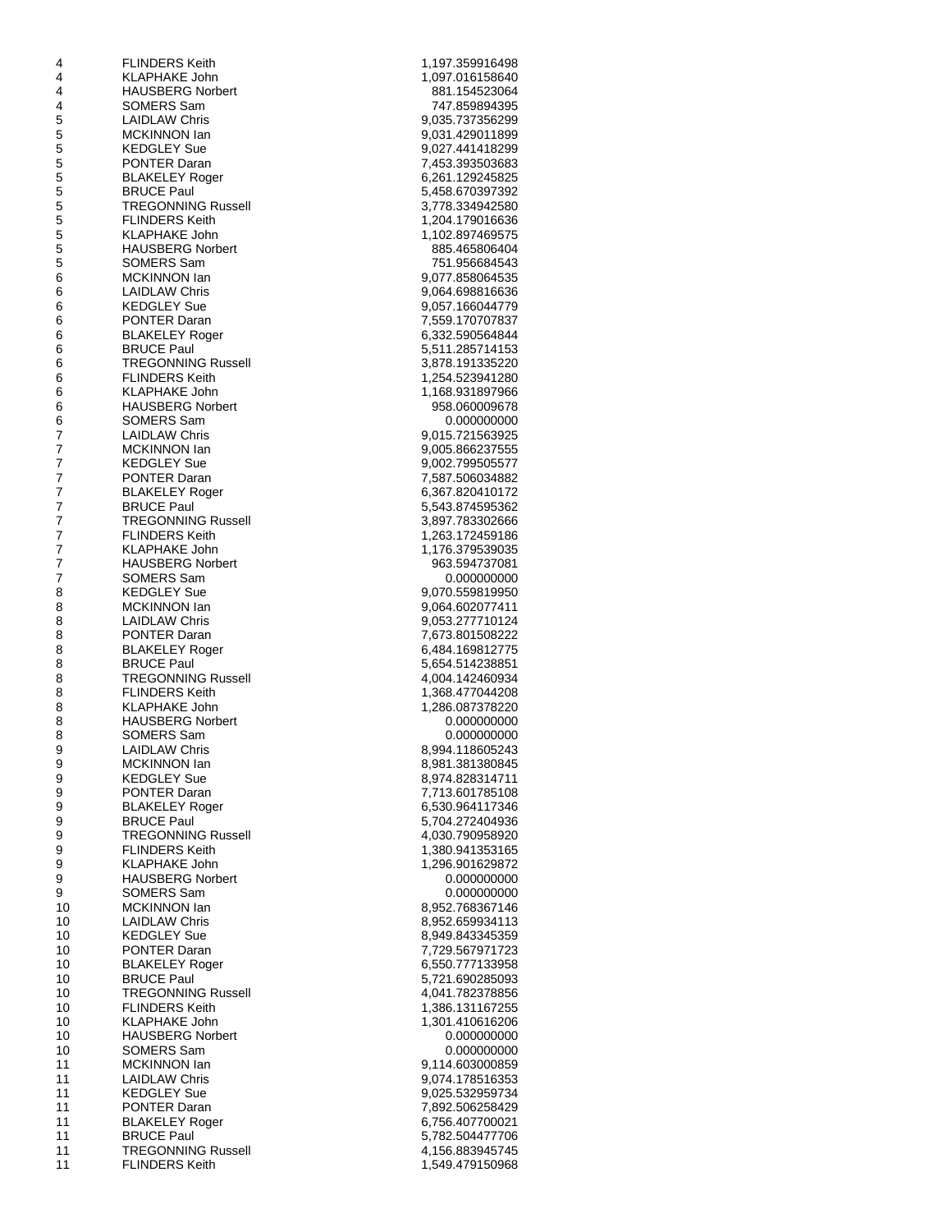| 4        | <b>FLINDERS Keith</b>                              | 1,197.359916498                    |
|----------|----------------------------------------------------|------------------------------------|
| 4        | KLAPHAKE John                                      | 1,097.016158640                    |
| 4        | <b>HAUSBERG Norbert</b>                            | 881.154523064                      |
| 4        | SOMERS Sam                                         | 747.859894395                      |
| 5<br>5   | <b>LAIDLAW Chris</b><br><b>MCKINNON lan</b>        | 9,035.737356299<br>9,031.429011899 |
| 5        | <b>KEDGLEY Sue</b>                                 | 9,027.441418299                    |
| 5        | PONTER Daran                                       | 7,453.393503683                    |
| 5        | <b>BLAKELEY Roger</b>                              | 6,261.129245825                    |
| 5        | <b>BRUCE Paul</b>                                  | 5,458.670397392                    |
| 5        | TREGONNING Russell                                 | 3,778.334942580                    |
| 5        | <b>FLINDERS Keith</b>                              | 1,204.179016636                    |
| 5        | KLAPHAKE John                                      | 1,102.897469575                    |
| 5        | <b>HAUSBERG Norbert</b>                            | 885.465806404                      |
| 5<br>6   | SOMERS Sam<br>MCKINNON lan                         | 751.956684543<br>9,077.858064535   |
| 6        | <b>LAIDLAW Chris</b>                               | 9,064.698816636                    |
| 6        | <b>KEDGLEY Sue</b>                                 | 9,057.166044779                    |
| 6        | <b>PONTER Daran</b>                                | 7,559.170707837                    |
| 6        | <b>BLAKELEY Roger</b>                              | 6,332.590564844                    |
| 6        | <b>BRUCE Paul</b>                                  | 5,511.285714153                    |
| 6        | TREGONNING Russell                                 | 3,878.191335220                    |
| 6        | <b>FLINDERS Keith</b>                              | 1,254.523941280                    |
| 6        | <b>KLAPHAKE John</b>                               | 1,168.931897966                    |
| 6        | <b>HAUSBERG Norbert</b>                            | 958.060009678<br>0.000000000       |
| 6<br>7   | SOMERS Sam<br><b>LAIDLAW Chris</b>                 | 9,015.721563925                    |
| 7        | MCKINNON lan                                       | 9,005.866237555                    |
| 7        | <b>KEDGLEY Sue</b>                                 | 9,002.799505577                    |
| 7        | PONTER Daran                                       | 7,587.506034882                    |
| 7        | <b>BLAKELEY Roger</b>                              | 6,367.820410172                    |
| 7        | <b>BRUCE Paul</b>                                  | 5,543.874595362                    |
| 7        | TREGONNING Russell                                 | 3,897.783302666                    |
| 7        | <b>FLINDERS Keith</b>                              | 1,263.172459186                    |
| 7        | KLAPHAKE John                                      | 1,176.379539035                    |
| 7<br>7   | <b>HAUSBERG Norbert</b><br>SOMERS Sam              | 963.594737081<br>0.000000000       |
| 8        | <b>KEDGLEY Sue</b>                                 | 9,070.559819950                    |
| 8        | MCKINNON lan                                       | 9,064.602077411                    |
| 8        | <b>LAIDLAW Chris</b>                               | 9,053.277710124                    |
| 8        | <b>PONTER Daran</b>                                | 7,673.801508222                    |
| 8        | <b>BLAKELEY Roger</b>                              | 6,484.169812775                    |
| 8        | <b>BRUCE Paul</b>                                  | 5,654.514238851                    |
| 8        | <b>TREGONNING Russell</b>                          | 4,004.142460934                    |
| 8        | <b>FLINDERS Keith</b><br><b>KLAPHAKE John</b>      | 1,368.477044208                    |
| 8<br>8   | <b>HAUSBERG Norbert</b>                            | 1,286.087378220<br>0.000000000     |
| 8        | SOMERS Sam                                         | 0.000000000                        |
| 9        | <b>LAIDLAW Chris</b>                               | 8,994.118605243                    |
| 9        | MCKINNON lan                                       | 8,981.381380845                    |
| 9        | <b>KEDGLEY Sue</b>                                 | 8,974.828314711                    |
| 9        | <b>PONTER Daran</b>                                | 7,713.601785108                    |
| 9        | <b>BLAKELEY Roger</b>                              | 6,530.964117346                    |
| 9        | <b>BRUCE Paul</b>                                  | 5,704.272404936                    |
| 9        | <b>TREGONNING Russell</b>                          | 4,030.790958920                    |
| 9<br>9   | <b>FLINDERS Keith</b><br>KLAPHAKE John             | 1,380.941353165<br>1,296.901629872 |
| 9        | <b>HAUSBERG Norbert</b>                            | 0.000000000                        |
| 9        | SOMERS Sam                                         | 0.000000000                        |
| 10       | <b>MCKINNON lan</b>                                | 8,952.768367146                    |
| 10       | <b>LAIDLAW Chris</b>                               | 8,952.659934113                    |
| 10       | <b>KEDGLEY Sue</b>                                 | 8,949.843345359                    |
| 10       | <b>PONTER Daran</b>                                | 7,729.567971723                    |
| 10       | <b>BLAKELEY Roger</b>                              | 6,550.777133958                    |
| 10       | <b>BRUCE Paul</b>                                  | 5,721.690285093                    |
| 10<br>10 | <b>TREGONNING Russell</b><br><b>FLINDERS Keith</b> | 4,041.782378856<br>1,386.131167255 |
| 10       | KLAPHAKE John                                      | 1,301.410616206                    |
| 10       | <b>HAUSBERG Norbert</b>                            | 0.000000000                        |
| 10       | SOMERS Sam                                         | 0.000000000                        |
| 11       | MCKINNON lan                                       | 9,114.603000859                    |
| 11       | <b>LAIDLAW Chris</b>                               | 9,074.178516353                    |
| 11       | <b>KEDGLEY Sue</b>                                 | 9,025.532959734                    |
| 11       | PONTER Daran                                       | 7,892.506258429                    |
| 11<br>11 | <b>BLAKELEY Roger</b><br><b>BRUCE Paul</b>         | 6,756.407700021<br>5,782.504477706 |
| 11       | <b>TREGONNING Russell</b>                          | 4,156.883945745                    |
| 11       | <b>FLINDERS Keith</b>                              | 1,549.479150968                    |
|          |                                                    |                                    |